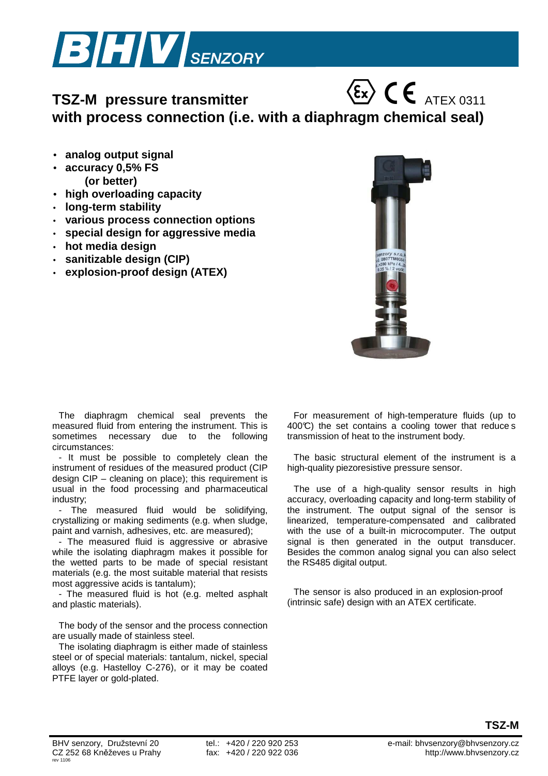

## **TSZ-M** pressure transmitter  $\langle \xi_x \rangle$   $\in$   $\in$   $_{ATEX\,0311}$ **with process connection (i.e. with a diaphragm chemical seal)**

- **analog output signal**
- **accuracy 0,5% FS (or better)**
- **high overloading capacity**
- **long-term stability**
- **various process connection options**
- **special design for aggressive media**
- **hot media design**
- **sanitizable design (CIP)**
- **explosion-proof design (ATEX)**



The diaphragm chemical seal prevents the measured fluid from entering the instrument. This is sometimes necessary due to the following circumstances:

- It must be possible to completely clean the instrument of residues of the measured product (CIP design CIP – cleaning on place); this requirement is usual in the food processing and pharmaceutical industry;

- The measured fluid would be solidifying, crystallizing or making sediments (e.g. when sludge, paint and varnish, adhesives, etc. are measured);

- The measured fluid is aggressive or abrasive while the isolating diaphragm makes it possible for the wetted parts to be made of special resistant materials (e.g. the most suitable material that resists most aggressive acids is tantalum);

- The measured fluid is hot (e.g. melted asphalt and plastic materials).

The body of the sensor and the process connection are usually made of stainless steel.

The isolating diaphragm is either made of stainless steel or of special materials: tantalum, nickel, special alloys (e.g. Hastelloy C-276), or it may be coated PTFE layer or gold-plated.

For measurement of high-temperature fluids (up to  $400\degree$  the set contains a cooling tower that reduce s transmission of heat to the instrument body.

The basic structural element of the instrument is a high-quality piezoresistive pressure sensor.

The use of a high-quality sensor results in high accuracy, overloading capacity and long-term stability of the instrument. The output signal of the sensor is linearized, temperature-compensated and calibrated with the use of a built-in microcomputer. The output signal is then generated in the output transducer. Besides the common analog signal you can also select the RS485 digital output.

The sensor is also produced in an explosion-proof (intrinsic safe) design with an ATEX certificate.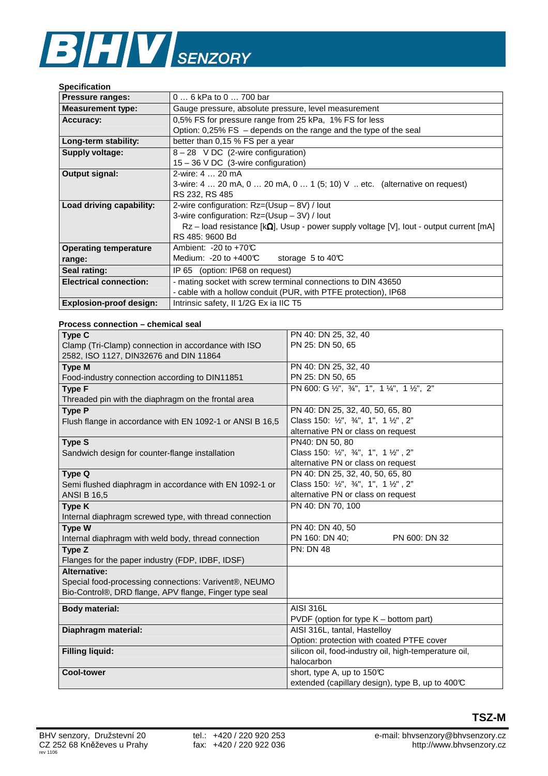## **BHV** SENZORY

## **Specification**

| <b>Pressure ranges:</b>        | 0  6 kPa to 0  700 bar                                                                           |  |  |  |  |
|--------------------------------|--------------------------------------------------------------------------------------------------|--|--|--|--|
| <b>Measurement type:</b>       | Gauge pressure, absolute pressure, level measurement                                             |  |  |  |  |
| Accuracy:                      | 0,5% FS for pressure range from 25 kPa, 1% FS for less                                           |  |  |  |  |
|                                | Option: $0.25\%$ FS – depends on the range and the type of the seal                              |  |  |  |  |
| Long-term stability:           | better than 0,15 % FS per a year                                                                 |  |  |  |  |
| <b>Supply voltage:</b>         | $8 - 28$ VDC (2-wire configuration)                                                              |  |  |  |  |
|                                | $15 - 36$ V DC (3-wire configuration)                                                            |  |  |  |  |
| Output signal:                 | 2-wire: 4  20 mA                                                                                 |  |  |  |  |
|                                | 3-wire: 4  20 mA, 0  20 mA, 0  1 (5; 10) V  etc. (alternative on request)                        |  |  |  |  |
|                                | RS 232, RS 485                                                                                   |  |  |  |  |
| Load driving capability:       | 2-wire configuration: Rz=(Usup – 8V) / lout                                                      |  |  |  |  |
|                                | 3-wire configuration: Rz=(Usup – 3V) / lout                                                      |  |  |  |  |
|                                | $Rz$ – load resistance $[k\Omega]$ , Usup - power supply voltage [V], lout - output current [mA] |  |  |  |  |
|                                | RS 485: 9600 Bd                                                                                  |  |  |  |  |
| <b>Operating temperature</b>   | Ambient: $-20$ to $+70$ °C                                                                       |  |  |  |  |
| range:                         | Medium: $-20$ to $+400$ °C<br>storage 5 to $40\textdegree$                                       |  |  |  |  |
| Seal rating:                   | IP 65 (option: IP68 on request)                                                                  |  |  |  |  |
| <b>Electrical connection:</b>  | - mating socket with screw terminal connections to DIN 43650                                     |  |  |  |  |
|                                | - cable with a hollow conduit (PUR, with PTFE protection), IP68                                  |  |  |  |  |
| <b>Explosion-proof design:</b> | Intrinsic safety, II 1/2G Ex ia IIC T5                                                           |  |  |  |  |

## **Process connection – chemical seal**

| Type C                                                   | PN 40: DN 25, 32, 40                                  |
|----------------------------------------------------------|-------------------------------------------------------|
| Clamp (Tri-Clamp) connection in accordance with ISO      | PN 25: DN 50, 65                                      |
| 2582, ISO 1127, DIN32676 and DIN 11864                   |                                                       |
| <b>Type M</b>                                            | PN 40: DN 25, 32, 40                                  |
| Food-industry connection according to DIN11851           | PN 25: DN 50, 65                                      |
| <b>Type F</b>                                            | PN 600: G 1/2", 3/4", 1", 1 1/4", 1 1/2", 2"          |
| Threaded pin with the diaphragm on the frontal area      |                                                       |
| <b>Type P</b>                                            | PN 40: DN 25, 32, 40, 50, 65, 80                      |
| Flush flange in accordance with EN 1092-1 or ANSI B 16,5 | Class 150: 1/2", 3/4", 1", 1 1/2", 2"                 |
|                                                          | alternative PN or class on request                    |
| <b>Type S</b>                                            | PN40: DN 50, 80                                       |
| Sandwich design for counter-flange installation          | Class 150: 1/2", 3/4", 1", 1 1/2", 2"                 |
|                                                          | alternative PN or class on request                    |
| Type Q                                                   | PN 40: DN 25, 32, 40, 50, 65, 80                      |
| Semi flushed diaphragm in accordance with EN 1092-1 or   | Class 150: 1/2", 3/4", 1", 1 1/2", 2"                 |
| <b>ANSI B 16,5</b>                                       | alternative PN or class on request                    |
| <b>Type K</b>                                            | PN 40: DN 70, 100                                     |
| Internal diaphragm screwed type, with thread connection  |                                                       |
| Type W                                                   | PN 40: DN 40, 50                                      |
| Internal diaphragm with weld body, thread connection     | PN 160: DN 40:<br>PN 600: DN 32                       |
| Type Z                                                   | <b>PN: DN 48</b>                                      |
| Flanges for the paper industry (FDP, IDBF, IDSF)         |                                                       |
| <b>Alternative:</b>                                      |                                                       |
| Special food-processing connections: Varivent®, NEUMO    |                                                       |
| Bio-Control®, DRD flange, APV flange, Finger type seal   |                                                       |
| <b>Body material:</b>                                    | <b>AISI 316L</b>                                      |
|                                                          | PVDF (option for type K - bottom part)                |
| Diaphragm material:                                      | AISI 316L, tantal, Hastelloy                          |
|                                                          | Option: protection with coated PTFE cover             |
| <b>Filling liquid:</b>                                   | silicon oil, food-industry oil, high-temperature oil, |
|                                                          | halocarbon                                            |
| <b>Cool-tower</b>                                        | short, type A, up to 150°C                            |
|                                                          | extended (capillary design), type B, up to 400°C      |

**TSZ-M**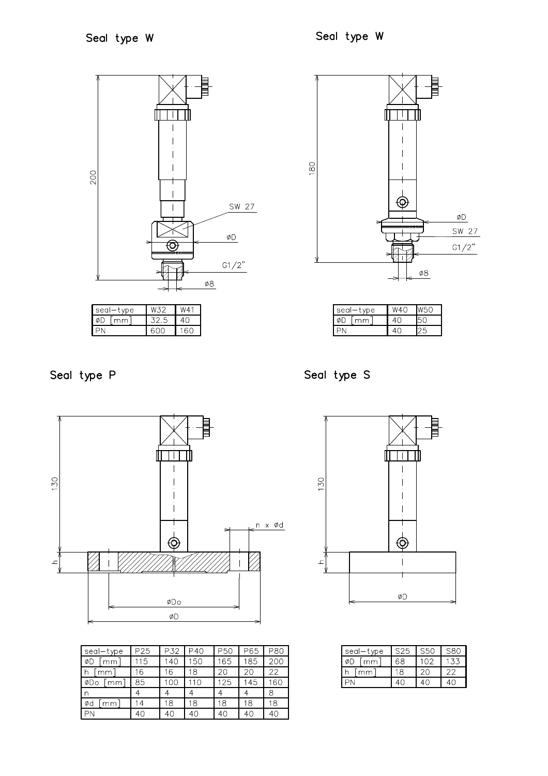

| sec<br>ъe |  |  |
|-----------|--|--|
| $\sim$    |  |  |
|           |  |  |



| sec'<br>/pe |  |  |
|-------------|--|--|
| mm          |  |  |
|             |  |  |

Seal type P



| seal-type  | P <sub>25</sub> | P32 | P40 | P50 | P65 | <b>P80</b> |
|------------|-----------------|-----|-----|-----|-----|------------|
| ØD<br>mm   | 115             | 140 | 150 | 165 | 185 | 200        |
| h<br>mm    | 16              | 16  | 18  | 20  | 20  | 22         |
| ØDo<br>mm. | 85              | 10C | 110 | 125 | 145 | 160        |
| n          |                 |     |     |     |     | 8          |
| Ød<br>mm.  | $\overline{4}$  | 18  | 18  | 18  | 18  | 18         |
|            | 40              | 40  | 4C  | 40  | 4C  | 4C         |

Seal type S



| seal<br>vpe | S25 | S50 | S8C |
|-------------|-----|-----|-----|
| mm          | 58  | 102 |     |
| mm          |     |     |     |
|             |     |     |     |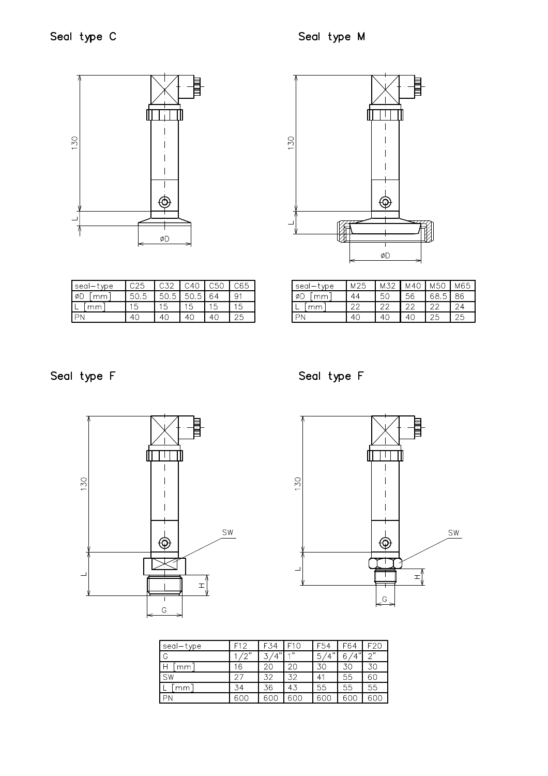



| seal—type | C32 | $\overline{0.50}$ . | C65 |
|-----------|-----|---------------------|-----|
|           | ◡.◡ |                     |     |
|           |     |                     |     |
|           |     |                     |     |
|           |     |                     |     |

seal-type<br>ØD [mm]  $M25$  $M32$  $M40$ M50 M65  $44$  $50$  $56$ 68.5 86  $L$  [mm]  $22$  $22$  $\overline{22}$ 22  $24$  $PN$  $40\,$ 40 40 25 25

Seal type F

Seal type F





| seal-type | F12 | F34                           |      | F54              | F64      | F20        |
|-----------|-----|-------------------------------|------|------------------|----------|------------|
| G         | ′ຕ" | $\cdot$ , $\overline{\cdots}$ | 4.22 | $\bar{4}$ "<br>5 | (4"<br>6 | $\gamma$ " |
| Н<br>mm   | 6   | 20                            | 20   | 30               | 30       | 30         |
| SW        | クラ  | 32                            | 32   | 41               | 55       | 6C         |
| mm        | 34  | 36                            | 43   | 55               | 55       | 55         |
| PN        | 600 | 600                           | 600  | 60C              | 60C      | 60C        |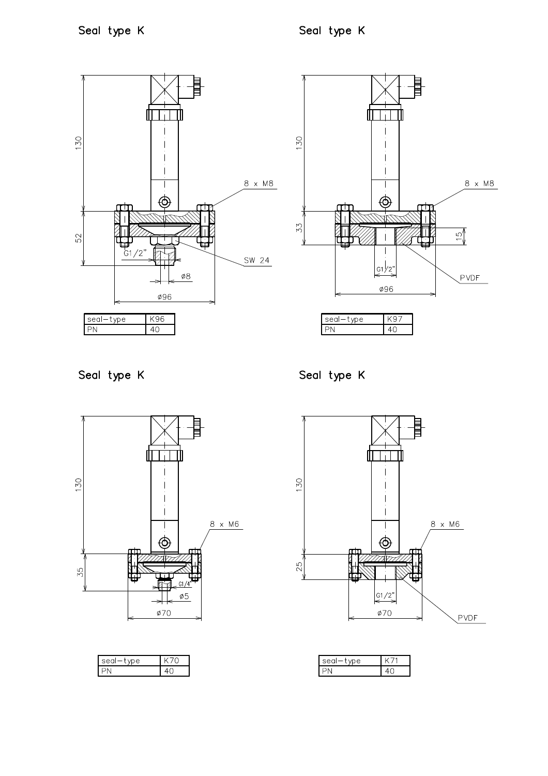

Seal type K

Seal type K



| $\triangleright$ |  |
|------------------|--|
|                  |  |



| $\circ$ |  |
|---------|--|
|         |  |